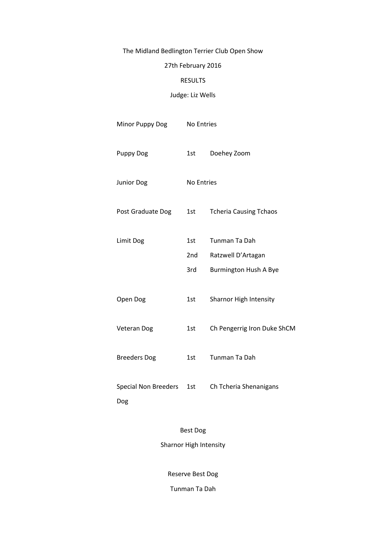# The Midland Bedlington Terrier Club Open Show

# 27th February 2016

#### RESULTS

### Judge: Liz Wells

| Minor Puppy Dog             | No Entries        |                               |
|-----------------------------|-------------------|-------------------------------|
| <b>Puppy Dog</b>            | 1st               | Doehey Zoom                   |
| Junior Dog                  | <b>No Entries</b> |                               |
| Post Graduate Dog           | 1st               | <b>Tcheria Causing Tchaos</b> |
| Limit Dog                   | 1st               | Tunman Ta Dah                 |
|                             | 2nd               | Ratzwell D'Artagan            |
|                             | 3rd               | Burmington Hush A Bye         |
| Open Dog                    | 1st               | Sharnor High Intensity        |
| Veteran Dog                 | 1st               | Ch Pengerrig Iron Duke ShCM   |
| <b>Breeders Dog</b>         | 1st               | Tunman Ta Dah                 |
| Special Non Breeders<br>Dog | 1st               | Ch Tcheria Shenanigans        |
|                             |                   |                               |

Best Dog Sharnor High Intensity

Reserve Best Dog

Tunman Ta Dah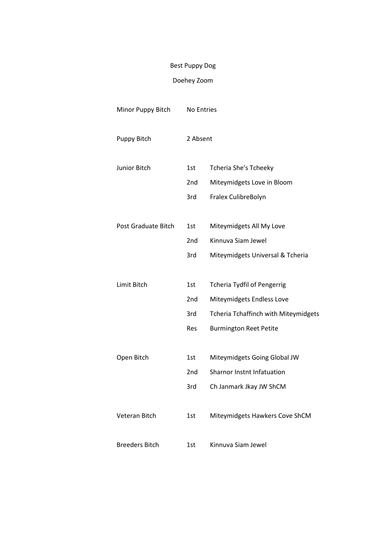# Best Puppy Dog

# Doehey Zoom

| Minor Puppy Bitch     |                 | No Entries                                  |  |
|-----------------------|-----------------|---------------------------------------------|--|
| Puppy Bitch           |                 | 2 Absent                                    |  |
| Junior Bitch          | 1st             | Tcheria She's Tcheeky                       |  |
|                       | 2 <sub>nd</sub> | Miteymidgets Love in Bloom                  |  |
|                       | 3rd             | Fralex CulibreBolyn                         |  |
| Post Graduate Bitch   | 1st             | Miteymidgets All My Love                    |  |
|                       | 2nd             | Kinnuva Siam Jewel                          |  |
|                       | 3rd             | Miteymidgets Universal & Tcheria            |  |
|                       |                 |                                             |  |
| Limit Bitch           | 1st             | <b>Tcheria Tydfil of Pengerrig</b>          |  |
|                       | 2 <sub>nd</sub> | Miteymidgets Endless Love                   |  |
|                       | 3rd             | <b>Tcheria Tchaffinch with Miteymidgets</b> |  |
|                       | Res             | <b>Burmington Reet Petite</b>               |  |
|                       |                 |                                             |  |
| Open Bitch            | 1st             | Miteymidgets Going Global JW                |  |
|                       | 2nd             | <b>Sharnor Instnt Infatuation</b>           |  |
|                       | 3rd             | Ch Janmark Jkay JW ShCM                     |  |
| Veteran Bitch         | 1st             | Miteymidgets Hawkers Cove ShCM              |  |
| <b>Breeders Bitch</b> | 1st             | Kinnuva Siam Jewel                          |  |